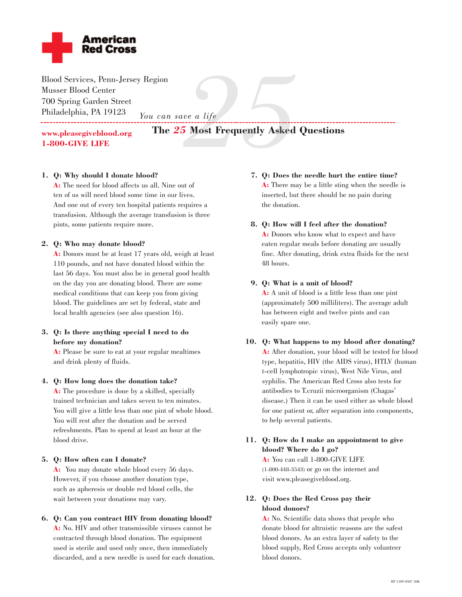

Blood Services, Penn-Jersey Region Musser Blood Center 700 Spring Garden Street Philadelphia, PA 19123 *You can save a life* \_\_\_\_\_\_\_\_\_\_\_\_\_\_\_\_\_\_\_\_\_\_\_

# **The** *25* **Most Frequently Asked Questions** *26 a life*<br>Most Frequently Asked

**www.pleasegiveblood.org 1-800-GIVE LIFE**

## **1. Q: Why should I donate blood?**

**A:** The need for blood affects us all. Nine out of ten of us will need blood some time in our lives. And one out of every ten hospital patients requires a transfusion. Although the average transfusion is three pints, some patients require more.

#### **2. Q: Who may donate blood?**

**A:** Donors must be at least 17 years old, weigh at least 110 pounds, and not have donated blood within the last 56 days. You must also be in general good health on the day you are donating blood. There are some medical conditions that can keep you from giving blood. The guidelines are set by federal, state and local health agencies (see also question 16).

## **3. Q: Is there anything special I need to do before my donation?**

**A:** Please be sure to eat at your regular mealtimes and drink plenty of fluids.

#### **4. Q: How long does the donation take?**

**A:** The procedure is done by a skilled, specially trained technician and takes seven to ten minutes. You will give a little less than one pint of whole blood. You will rest after the donation and be served refreshments. Plan to spend at least an hour at the blood drive.

#### **5. Q: How often can I donate?**

**A:** You may donate whole blood every 56 days. However, if you choose another donation type, such as apheresis or double red blood cells, the wait between your donations may vary.

#### **6. Q: Can you contract HIV from donating blood?**

**A:** No. HIV and other transmissible viruses cannot be contracted through blood donation. The equipment used is sterile and used only once, then immediately discarded, and a new needle is used for each donation. **7. Q: Does the needle hurt the entire time? A:** There may be a little sting when the needle is inserted, but there should be no pain during the donation.

#### **8. Q: How will I feel after the donation?**

**A:** Donors who know what to expect and have eaten regular meals before donating are usually fine. After donating, drink extra fluids for the next 48 hours.

#### **9. Q: What is a unit of blood?**

**A:** A unit of blood is a little less than one pint (approximately 500 milliliters). The average adult has between eight and twelve pints and can easily spare one.

# **10. Q: What happens to my blood after donating? A:** After donation, your blood will be tested for blood type, hepatitis, HIV (the AIDS virus), HTLV (human t-cell lymphotropic virus), West Nile Virus, and syphilis. The American Red Cross also tests for antibodies to T.cruzii microorganism (Chagas' disease.) Then it can be used either as whole blood for one patient or, after separation into components, to help several patients.

# **11. Q: How do I make an appointment to give blood? Where do I go?**

**A:** You can call 1-800-GIVE LIFE (1-800-448-3543) or go on the internet and visit www.pleasegiveblood.org.

# **12. Q: Does the Red Cross pay their blood donors?**

**A:** No. Scientific data shows that people who donate blood for altruistic reasons are the safest blood donors. As an extra layer of safety to the blood supply, Red Cross accepts only volunteer blood donors.